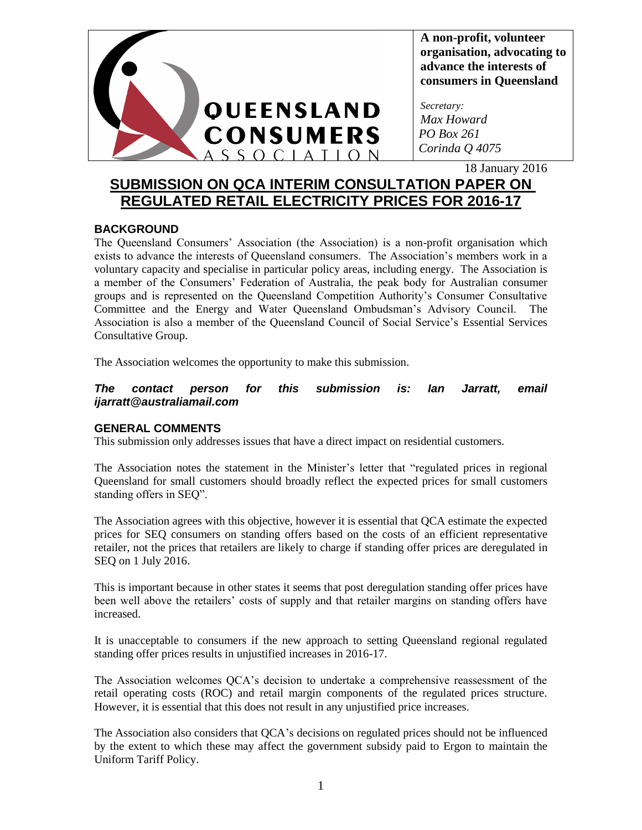

**A non-profit, volunteer organisation, advocating to advance the interests of consumers in Queensland**

*Secretary: Max Howard PO Box 261 Corinda Q 4075*

18 January 2016

# **SUBMISSION ON QCA INTERIM CONSULTATION PAPER ON REGULATED RETAIL ELECTRICITY PRICES FOR 2016-17**

# **BACKGROUND**

The Queensland Consumers' Association (the Association) is a non-profit organisation which exists to advance the interests of Queensland consumers. The Association's members work in a voluntary capacity and specialise in particular policy areas, including energy. The Association is a member of the Consumers' Federation of Australia, the peak body for Australian consumer groups and is represented on the Queensland Competition Authority's Consumer Consultative Committee and the Energy and Water Queensland Ombudsman's Advisory Council. The Association is also a member of the Queensland Council of Social Service's Essential Services Consultative Group.

The Association welcomes the opportunity to make this submission.

## *The contact person for this submission is: Ian Jarratt, email ijarratt@australiamail.com*

# **GENERAL COMMENTS**

This submission only addresses issues that have a direct impact on residential customers.

The Association notes the statement in the Minister's letter that "regulated prices in regional Queensland for small customers should broadly reflect the expected prices for small customers standing offers in SEQ".

The Association agrees with this objective, however it is essential that QCA estimate the expected prices for SEQ consumers on standing offers based on the costs of an efficient representative retailer, not the prices that retailers are likely to charge if standing offer prices are deregulated in SEQ on 1 July 2016.

This is important because in other states it seems that post deregulation standing offer prices have been well above the retailers' costs of supply and that retailer margins on standing offers have increased.

It is unacceptable to consumers if the new approach to setting Queensland regional regulated standing offer prices results in unjustified increases in 2016-17.

The Association welcomes QCA's decision to undertake a comprehensive reassessment of the retail operating costs (ROC) and retail margin components of the regulated prices structure. However, it is essential that this does not result in any unjustified price increases.

The Association also considers that QCA's decisions on regulated prices should not be influenced by the extent to which these may affect the government subsidy paid to Ergon to maintain the Uniform Tariff Policy.